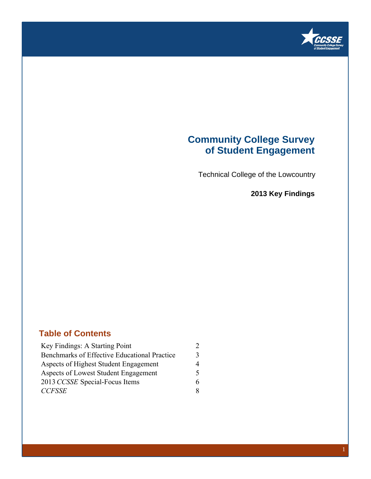

## **Community College Survey of Student Engagement**

Technical College of the Lowcountry

**2013 Key Findings**

### **Table of Contents**

| Key Findings: A Starting Point               | $\mathcal{D}$ |
|----------------------------------------------|---------------|
| Benchmarks of Effective Educational Practice | 3             |
| Aspects of Highest Student Engagement        | 4             |
| Aspects of Lowest Student Engagement         | 5             |
| 2013 CCSSE Special-Focus Items               | 6             |
| <b>CCFSSE</b>                                | 8             |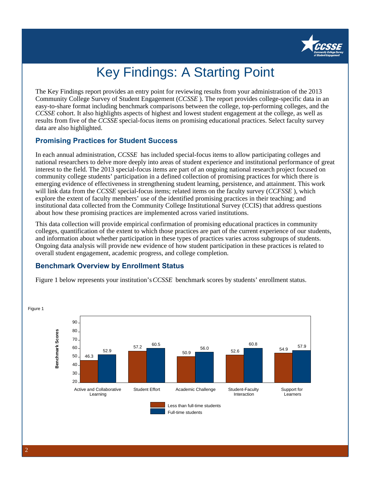

# Key Findings: A Starting Point

The Key Findings report provides an entry point for reviewing results from your administration of the 2013 Community College Survey of Student Engagement (*CCSSE* ). The report provides college-specific data in an easy-to-share format including benchmark comparisons between the college, top-performing colleges, and the *CCSSE* cohort. It also highlights aspects of highest and lowest student engagement at the college, as well as results from five of the *CCSSE* special-focus items on promising educational practices. Select faculty survey data are also highlighted.

### **Promising Practices for Student Success**

In each annual administration, *CCSSE* has included special-focus items to allow participating colleges and national researchers to delve more deeply into areas of student experience and institutional performance of great interest to the field. The 2013 special-focus items are part of an ongoing national research project focused on community college students' participation in a defined collection of promising practices for which there is emerging evidence of effectiveness in strengthening student learning, persistence, and attainment. This work will link data from the *CCSSE* special-focus items; related items on the faculty survey (*CCFSSE* ), which explore the extent of faculty members' use of the identified promising practices in their teaching; and institutional data collected from the Community College Institutional Survey (CCIS) that address questions about how these promising practices are implemented across varied institutions.

This data collection will provide empirical confirmation of promising educational practices in community colleges, quantification of the extent to which those practices are part of the current experience of our students, and information about whether participation in these types of practices varies across subgroups of students. Ongoing data analysis will provide new evidence of how student participation in these practices is related to overall student engagement, academic progress, and college completion.

### **Benchmark Overview by Enrollment Status**

Figure 1 below represents your institution's *CCSSE* benchmark scores by students' enrollment status.



2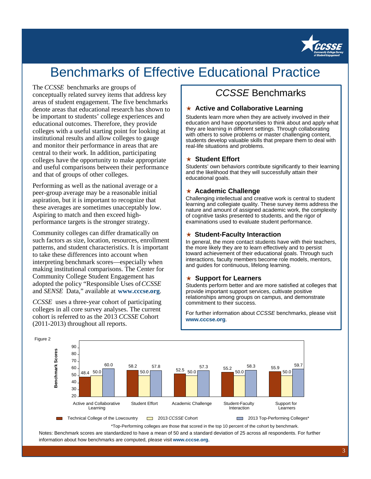

## Benchmarks of Effective Educational Practice

#### The *CCSSE* benchmarks are groups of

conceptually related survey items that address key areas of student engagement. The five benchmarks denote areas that educational research has shown to be important to students' college experiences and educational outcomes. Therefore, they provide colleges with a useful starting point for looking at institutional results and allow colleges to gauge and monitor their performance in areas that are central to their work. In addition, participating colleges have the opportunity to make appropriate and useful comparisons between their performance and that of groups of other colleges.

Performing as well as the national average or a peer-group average may be a reasonable initial aspiration, but it is important to recognize that these averages are sometimes unacceptably low. Aspiring to match and then exceed highperformance targets is the stronger strategy.

Community colleges can differ dramatically on such factors as size, location, resources, enrollment patterns, and student characteristics. It is important to take these differences into account when interpreting benchmark scores—especially when making institutional comparisons. The Center for Community College Student Engagement has adopted the policy "Responsible Uses of *CCSSE* and *SENSE* Data," available at **www.cccse.org**.

*CCSSE* uses a three-year cohort of participating colleges in all core survey analyses. The current cohort is referred to as the 2013 *CCSSE* Cohort (2011-2013) throughout all reports.

### CCSSE Benchmarks

### ★ **Active and Collaborative Learning**

Students learn more when they are actively involved in their education and have opportunities to think about and apply what they are learning in different settings. Through collaborating with others to solve problems or master challenging content, students develop valuable skills that prepare them to deal with real-life situations and problems.

#### ★ **Student Effort**

Students' own behaviors contribute significantly to their learning and the likelihood that they will successfully attain their educational goals.

### ★ **Academic Challenge**

Challenging intellectual and creative work is central to student learning and collegiate quality. These survey items address the nature and amount of assigned academic work, the complexity of cognitive tasks presented to students, and the rigor of examinations used to evaluate student performance.

#### ★ **Student-Faculty Interaction**

In general, the more contact students have with their teachers, the more likely they are to learn effectively and to persist toward achievement of their educational goals. Through such interactions, faculty members become role models, mentors, and guides for continuous, lifelong learning.

#### ★ **Support for Learners**

Students perform better and are more satisfied at colleges that provide important support services, cultivate positive relationships among groups on campus, and demonstrate commitment to their success.

For further information about CCSSE benchmarks, please visit **www.cccse.org**.



\*Top-Performing colleges are those that scored in the top 10 percent of the cohort by benchmark. Notes: Benchmark scores are standardized to have a mean of 50 and a standard deviation of 25 across all respondents. For further information about how benchmarks are computed, please visit **www.cccse.org**.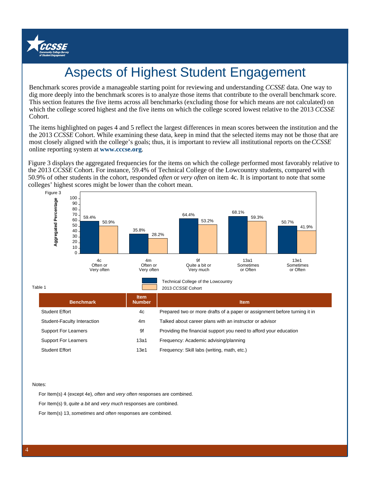

# Aspects of Highest Student Engagement

Benchmark scores provide a manageable starting point for reviewing and understanding *CCSSE* data. One way to dig more deeply into the benchmark scores is to analyze those items that contribute to the overall benchmark score. This section features the five items across all benchmarks (excluding those for which means are not calculated) on which the college scored highest and the five items on which the college scored lowest relative to the 2013 *CCSSE* Cohort.

The items highlighted on pages 4 and 5 reflect the largest differences in mean scores between the institution and the the 2013 *CCSSE* Cohort. While examining these data, keep in mind that the selected items may not be those that are most closely aligned with the college's goals; thus, it is important to review all institutional reports on the *CCSSE* online reporting system at **www.cccse.org**.

Figure 3 displays the aggregated frequencies for the items on which the college performed most favorably relative to the 2013 *CCSSE* Cohort. For instance, 59.4% of Technical College of the Lowcountry students, compared with 50.9% of other students in the cohort, responded *often* or *very often* on item 4c. It is important to note that some colleges' highest scores might be lower than the cohort mean.



Table 1

|                             |                              | ZVIY QOQOL QOIIVIL                                                        |
|-----------------------------|------------------------------|---------------------------------------------------------------------------|
| <b>Benchmark</b>            | <b>Item</b><br><b>Number</b> | <b>Item</b>                                                               |
| <b>Student Effort</b>       | 4c                           | Prepared two or more drafts of a paper or assignment before turning it in |
| Student-Faculty Interaction | 4m                           | Talked about career plans with an instructor or advisor                   |
| <b>Support For Learners</b> | 9f                           | Providing the financial support you need to afford your education         |
| <b>Support For Learners</b> | 13a1                         | Frequency: Academic advising/planning                                     |
| <b>Student Effort</b>       | 13e1                         | Frequency: Skill labs (writing, math, etc.)                               |

Notes:

For Item(s) 4 (except 4e), often and very often responses are combined.

For Item(s) 9, quite a bit and very much responses are combined.

For Item(s) 13, sometimes and often responses are combined.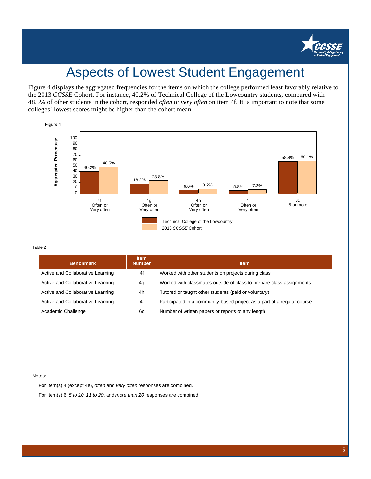

## Aspects of Lowest Student Engagement

Figure 4 displays the aggregated frequencies for the items on which the college performed least favorably relative to the 2013 *CCSSE* Cohort. For instance, 40.2% of Technical College of the Lowcountry students, compared with 48.5% of other students in the cohort, responded *often* or *very often* on item 4f. It is important to note that some colleges' lowest scores might be higher than the cohort mean.



#### Table 2

| <b>Benchmark</b>                  | <b>Item</b><br><b>Number</b> | <b>Item</b>                                                             |
|-----------------------------------|------------------------------|-------------------------------------------------------------------------|
| Active and Collaborative Learning | 4f                           | Worked with other students on projects during class                     |
| Active and Collaborative Learning | 4g                           | Worked with classmates outside of class to prepare class assignments    |
| Active and Collaborative Learning | 4h                           | Tutored or taught other students (paid or voluntary)                    |
| Active and Collaborative Learning | 4i                           | Participated in a community-based project as a part of a regular course |
| Academic Challenge                | 6с                           | Number of written papers or reports of any length                       |

#### Notes:

For Item(s) 4 (except 4e), often and very often responses are combined. For Item(s) 6, 5 to 10, 11 to 20, and more than 20 responses are combined.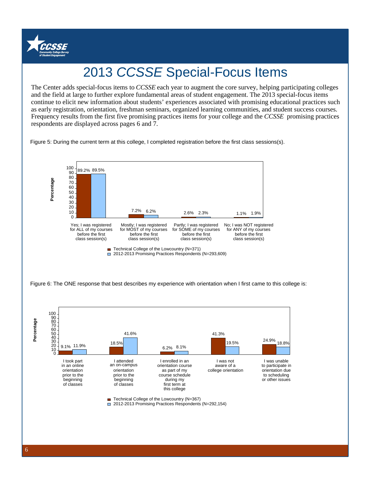

# 2013 CCSSE Special-Focus Items

and the field at large to further explore fundamental areas of student engagement. The 2013 special-focus items The Center adds special-focus items to *CCSSE* each year to augment the core survey, helping participating colleges continue to elicit new information about students' experiences associated with promising educational practices such as early registration, orientation, freshman seminars, organized learning communities, and student success courses. Frequency results from the first five promising practices items for your college and the *CCSSE* promising practices respondents are displayed across pages 6 and 7.

Figure 5: During the current term at this college, I completed registration before the first class sessions(s).



Figure 6: The ONE response that best describes my experience with orientation when I first came to this college is: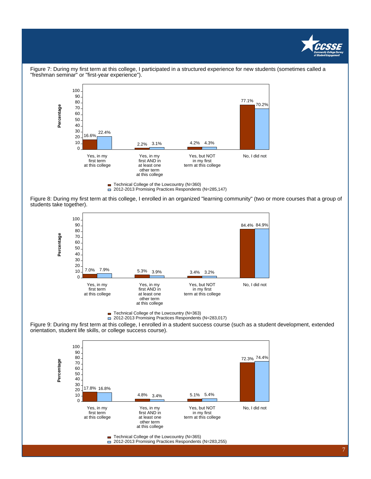



Figure 7: During my first term at this college, I participated in a structured experience for new students (sometimes called a "freshman seminar" or "first-year experience").

Figure 8: During my first term at this college, I enrolled in an organized "learning community" (two or more courses that a group of students take together).



■ Technical College of the Lowcountry (N=363)

2012-2013 Promising Practices Respondents (N=283,017)

Figure 9: During my first term at this college, I enrolled in a student success course (such as a student development, extended orientation, student life skills, or college success course).



■ Technical College of the Lowcountry (N=365)

□ 2012-2013 Promising Practices Respondents (N=283,255)